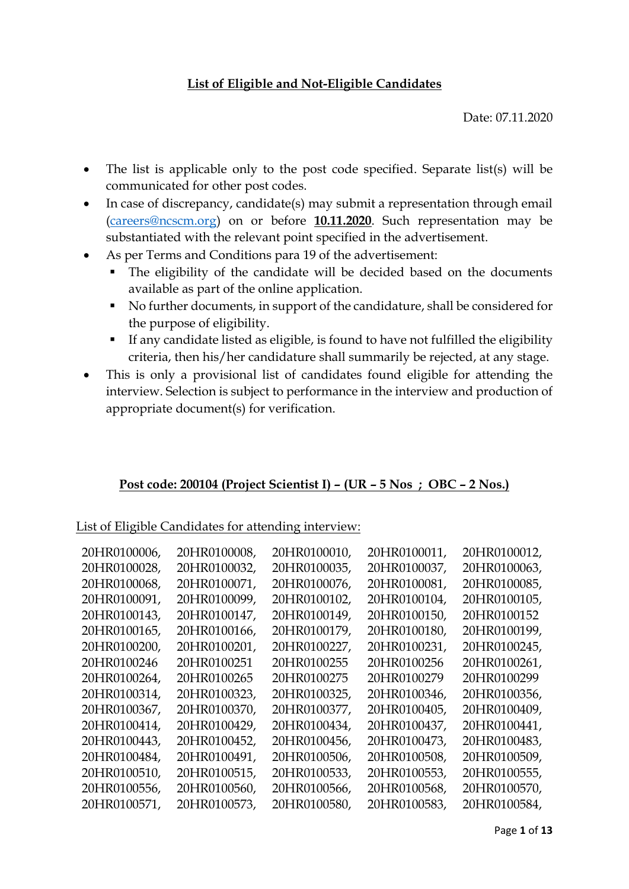### **List of Eligible and Not-Eligible Candidates**

Date: 07.11.2020

- The list is applicable only to the post code specified. Separate list(s) will be communicated for other post codes.
- In case of discrepancy, candidate(s) may submit a representation through email [\(careers@ncscm.org\)](mailto:careers@ncscm.org) on or before **10.11.2020**. Such representation may be substantiated with the relevant point specified in the advertisement.
- As per Terms and Conditions para 19 of the advertisement:
	- The eligibility of the candidate will be decided based on the documents available as part of the online application.
	- No further documents, in support of the candidature, shall be considered for the purpose of eligibility.
	- If any candidate listed as eligible, is found to have not fulfilled the eligibility criteria, then his/her candidature shall summarily be rejected, at any stage.
- This is only a provisional list of candidates found eligible for attending the interview. Selection is subject to performance in the interview and production of appropriate document(s) for verification.

### **Post code: 200104 (Project Scientist I) – (UR – 5 Nos ; OBC – 2 Nos.)**

List of Eligible Candidates for attending interview:

| 20HR0100006, | 20HR0100008,         | 20HR0100010, | 20HR0100011. | 20HR0100012.         |
|--------------|----------------------|--------------|--------------|----------------------|
| 20HR0100028. | 20HR0100032.         | 20HR0100035, | 20HR0100037. | 20HR0100063.         |
| 20HR0100068. | 20HR0100071,         | 20HR0100076, | 20HR0100081, | 20HR0100085,         |
| 20HR0100091, | 20HR0100099,         | 20HR0100102. | 20HR0100104, | 20HR0100105.         |
| 20HR0100143, | 20HR0100147,         | 20HR0100149, | 20HR0100150, | 20HR0100152          |
| 20HR0100165, | 20HR0100166,         | 20HR0100179, | 20HR0100180, | 20HR0100199,         |
| 20HR0100200. | 20HR0100201,         | 20HR0100227. | 20HR0100231, | 20HR0100245,         |
| 20HR0100246  | 20HR0100251          | 20HR0100255  | 20HR0100256  | 20HR0100261,         |
| 20HR0100264. | 20HR0100265          | 20HR0100275  | 20HR0100279  | 20HR0100299          |
| 20HR0100314, | 20HR0100323,         | 20HR0100325, | 20HR0100346, | 20HR0100356,         |
| 20HR0100367. | 20HR0100370,         | 20HR0100377, | 20HR0100405, | 20HR0100409.         |
| 20HR0100414, | 20HR0100429,         | 20HR0100434, | 20HR0100437, | 20HR0100441,         |
| 20HR0100443, | 20HR0100452,         | 20HR0100456, | 20HR0100473, | 20HR0100483,         |
| 20HR0100484, | 20HR0100491,         | 20HR0100506, | 20HR0100508, | 20HR0100509,         |
| 20HR0100510, | 20HR0100515,         | 20HR0100533, | 20HR0100553, | 20HR0100555,         |
| 20HR0100556. | 20HR0100560 <i>.</i> | 20HR0100566, | 20HR0100568. | 20HR0100570 <i>.</i> |
| 20HR0100571, | 20HR0100573,         | 20HR0100580, | 20HR0100583, | 20HR0100584,         |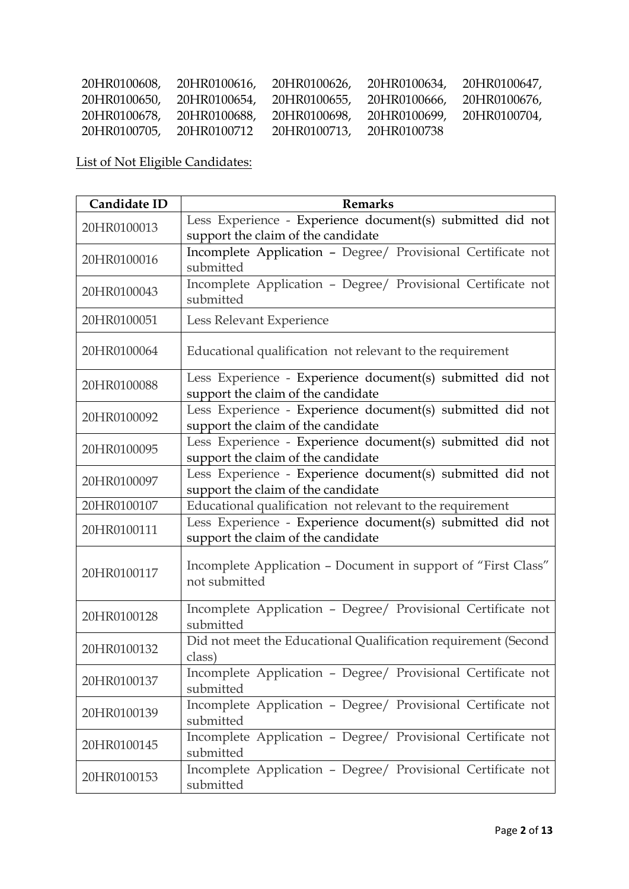| 20HR0100608, | 20HR0100616, | 20HR0100626, 20HR0100634, |                           | 20HR0100647, |
|--------------|--------------|---------------------------|---------------------------|--------------|
| 20HR0100650, | 20HR0100654. | 20HR0100655,              | 20HR0100666, 20HR0100676, |              |
| 20HR0100678, | 20HR0100688, | 20HR0100698.              | 20HR0100699,              | 20HR0100704, |
| 20HR0100705, | 20HR0100712  | 20HR0100713,              | 20HR0100738               |              |

| Candidate ID | <b>Remarks</b>                                                                                   |  |  |
|--------------|--------------------------------------------------------------------------------------------------|--|--|
| 20HR0100013  | Less Experience - Experience document(s) submitted did not<br>support the claim of the candidate |  |  |
| 20HR0100016  | Incomplete Application - Degree/ Provisional Certificate not<br>submitted                        |  |  |
| 20HR0100043  | Incomplete Application - Degree/ Provisional Certificate not<br>submitted                        |  |  |
| 20HR0100051  | Less Relevant Experience                                                                         |  |  |
| 20HR0100064  | Educational qualification not relevant to the requirement                                        |  |  |
| 20HR0100088  | Less Experience - Experience document(s) submitted did not<br>support the claim of the candidate |  |  |
| 20HR0100092  | Less Experience - Experience document(s) submitted did not<br>support the claim of the candidate |  |  |
| 20HR0100095  | Less Experience - Experience document(s) submitted did not<br>support the claim of the candidate |  |  |
| 20HR0100097  | Less Experience - Experience document(s) submitted did not<br>support the claim of the candidate |  |  |
| 20HR0100107  | Educational qualification not relevant to the requirement                                        |  |  |
| 20HR0100111  | Less Experience - Experience document(s) submitted did not<br>support the claim of the candidate |  |  |
| 20HR0100117  | Incomplete Application - Document in support of "First Class"<br>not submitted                   |  |  |
| 20HR0100128  | Incomplete Application - Degree/ Provisional Certificate not<br>submitted                        |  |  |
| 20HR0100132  | Did not meet the Educational Qualification requirement (Second<br>class)                         |  |  |
| 20HR0100137  | Incomplete Application - Degree/ Provisional Certificate not<br>submitted                        |  |  |
| 20HR0100139  | Incomplete Application - Degree/ Provisional Certificate not<br>submitted                        |  |  |
| 20HR0100145  | Incomplete Application - Degree/ Provisional Certificate not<br>submitted                        |  |  |
| 20HR0100153  | Incomplete Application - Degree/ Provisional Certificate not<br>submitted                        |  |  |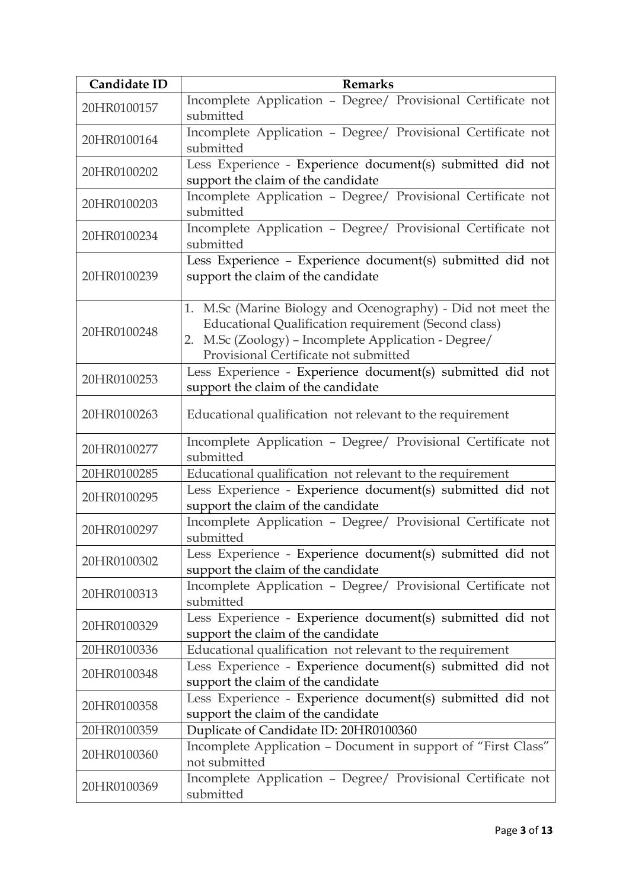| Candidate ID | <b>Remarks</b>                                                                                                                                                                                                       |
|--------------|----------------------------------------------------------------------------------------------------------------------------------------------------------------------------------------------------------------------|
| 20HR0100157  | Incomplete Application - Degree/ Provisional Certificate not<br>submitted                                                                                                                                            |
| 20HR0100164  | Incomplete Application - Degree/ Provisional Certificate not<br>submitted                                                                                                                                            |
| 20HR0100202  | Less Experience - Experience document(s) submitted did not<br>support the claim of the candidate                                                                                                                     |
| 20HR0100203  | Incomplete Application - Degree/ Provisional Certificate not<br>submitted                                                                                                                                            |
| 20HR0100234  | Incomplete Application - Degree/ Provisional Certificate not<br>submitted                                                                                                                                            |
| 20HR0100239  | Less Experience - Experience document(s) submitted did not<br>support the claim of the candidate                                                                                                                     |
| 20HR0100248  | 1. M.Sc (Marine Biology and Ocenography) - Did not meet the<br>Educational Qualification requirement (Second class)<br>2. M.Sc (Zoology) - Incomplete Application - Degree/<br>Provisional Certificate not submitted |
| 20HR0100253  | Less Experience - Experience document(s) submitted did not<br>support the claim of the candidate                                                                                                                     |
| 20HR0100263  | Educational qualification not relevant to the requirement                                                                                                                                                            |
| 20HR0100277  | Incomplete Application - Degree/ Provisional Certificate not<br>submitted                                                                                                                                            |
| 20HR0100285  | Educational qualification not relevant to the requirement                                                                                                                                                            |
| 20HR0100295  | Less Experience - Experience document(s) submitted did not<br>support the claim of the candidate                                                                                                                     |
| 20HR0100297  | Incomplete Application - Degree/ Provisional Certificate not<br>submitted                                                                                                                                            |
| 20HR0100302  | Less Experience - Experience document(s) submitted did not<br>support the claim of the candidate                                                                                                                     |
| 20HR0100313  | Incomplete Application - Degree/ Provisional Certificate not<br>submitted                                                                                                                                            |
| 20HR0100329  | Less Experience - Experience document(s) submitted did not<br>support the claim of the candidate                                                                                                                     |
| 20HR0100336  | Educational qualification not relevant to the requirement                                                                                                                                                            |
| 20HR0100348  | Less Experience - Experience document(s) submitted did not<br>support the claim of the candidate                                                                                                                     |
| 20HR0100358  | Less Experience - Experience document(s) submitted did not<br>support the claim of the candidate                                                                                                                     |
| 20HR0100359  | Duplicate of Candidate ID: 20HR0100360                                                                                                                                                                               |
| 20HR0100360  | Incomplete Application - Document in support of "First Class"<br>not submitted                                                                                                                                       |
| 20HR0100369  | Incomplete Application - Degree/ Provisional Certificate not<br>submitted                                                                                                                                            |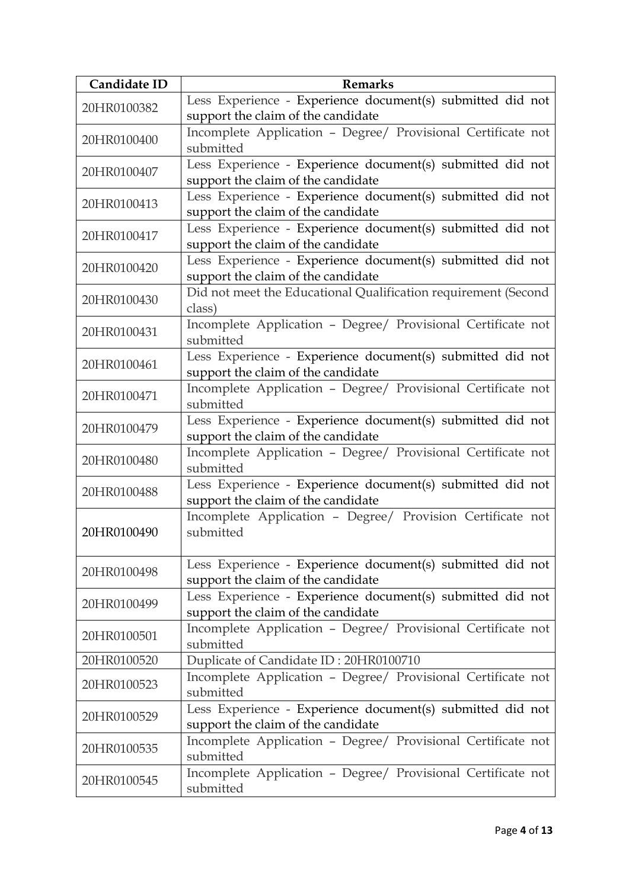| Candidate ID                                                              | <b>Remarks</b>                                                                                   |
|---------------------------------------------------------------------------|--------------------------------------------------------------------------------------------------|
| 20HR0100382                                                               | Less Experience - Experience document(s) submitted did not                                       |
|                                                                           | support the claim of the candidate                                                               |
| 20HR0100400                                                               | Incomplete Application - Degree/ Provisional Certificate not                                     |
|                                                                           | submitted                                                                                        |
| 20HR0100407                                                               | Less Experience - Experience document(s) submitted did not                                       |
|                                                                           | support the claim of the candidate                                                               |
| 20HR0100413                                                               | Less Experience - Experience document(s) submitted did not                                       |
|                                                                           | support the claim of the candidate<br>Less Experience - Experience document(s) submitted did not |
| 20HR0100417                                                               | support the claim of the candidate                                                               |
|                                                                           | Less Experience - Experience document(s) submitted did not                                       |
| 20HR0100420                                                               | support the claim of the candidate                                                               |
|                                                                           | Did not meet the Educational Qualification requirement (Second                                   |
| 20HR0100430                                                               | class)                                                                                           |
|                                                                           | Incomplete Application - Degree/ Provisional Certificate not                                     |
| 20HR0100431                                                               | submitted                                                                                        |
| 20HR0100461                                                               | Less Experience - Experience document(s) submitted did not                                       |
|                                                                           | support the claim of the candidate                                                               |
| 20HR0100471                                                               | Incomplete Application - Degree/ Provisional Certificate not                                     |
|                                                                           | submitted                                                                                        |
| 20HR0100479                                                               | Less Experience - Experience document(s) submitted did not                                       |
|                                                                           | support the claim of the candidate                                                               |
| 20HR0100480                                                               | Incomplete Application - Degree/ Provisional Certificate not                                     |
|                                                                           | submitted                                                                                        |
| Less Experience - Experience document(s) submitted did not<br>20HR0100488 |                                                                                                  |
|                                                                           | support the claim of the candidate<br>Incomplete Application - Degree/ Provision Certificate not |
| 20HR0100490                                                               | submitted                                                                                        |
|                                                                           |                                                                                                  |
|                                                                           | Less Experience - Experience document(s) submitted did not                                       |
| 20HR0100498                                                               | support the claim of the candidate                                                               |
|                                                                           | Less Experience - Experience document(s) submitted did not                                       |
| 20HR0100499                                                               | support the claim of the candidate                                                               |
| 20HR0100501                                                               | Incomplete Application - Degree/ Provisional Certificate not                                     |
|                                                                           | submitted                                                                                        |
| 20HR0100520                                                               | Duplicate of Candidate ID: 20HR0100710                                                           |
| 20HR0100523                                                               | Incomplete Application - Degree/ Provisional Certificate not                                     |
|                                                                           | submitted                                                                                        |
| 20HR0100529                                                               | Less Experience - Experience document(s) submitted did not                                       |
|                                                                           | support the claim of the candidate                                                               |
| 20HR0100535                                                               | Incomplete Application - Degree/ Provisional Certificate not                                     |
|                                                                           | submitted                                                                                        |
| 20HR0100545                                                               | Incomplete Application - Degree/ Provisional Certificate not<br>submitted                        |
|                                                                           |                                                                                                  |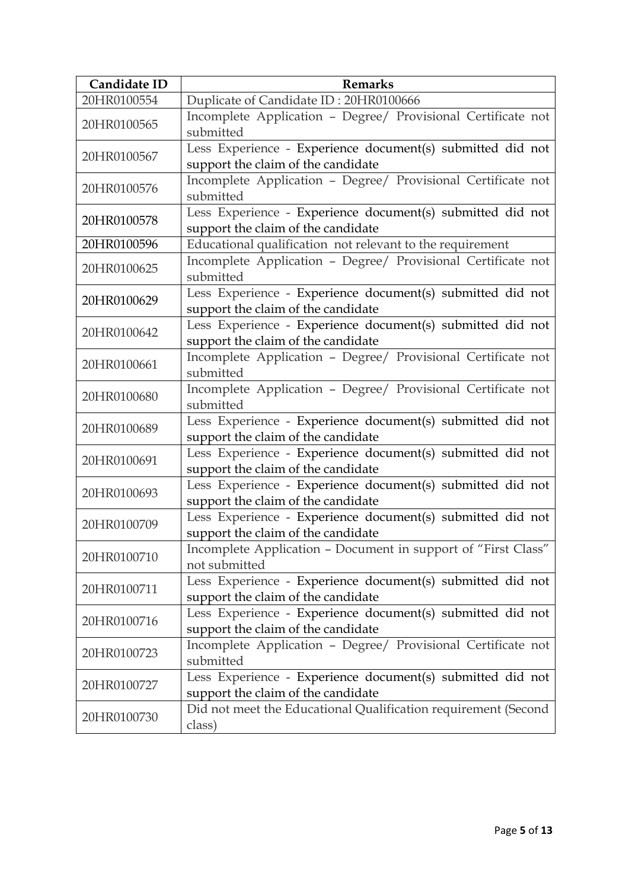| Candidate ID | <b>Remarks</b>                                                                                   |
|--------------|--------------------------------------------------------------------------------------------------|
| 20HR0100554  | Duplicate of Candidate ID: 20HR0100666                                                           |
| 20HR0100565  | Incomplete Application - Degree/ Provisional Certificate not<br>submitted                        |
| 20HR0100567  | Less Experience - Experience document(s) submitted did not<br>support the claim of the candidate |
| 20HR0100576  | Incomplete Application - Degree/ Provisional Certificate not<br>submitted                        |
| 20HR0100578  | Less Experience - Experience document(s) submitted did not<br>support the claim of the candidate |
| 20HR0100596  | Educational qualification not relevant to the requirement                                        |
| 20HR0100625  | Incomplete Application - Degree/ Provisional Certificate not<br>submitted                        |
| 20HR0100629  | Less Experience - Experience document(s) submitted did not<br>support the claim of the candidate |
| 20HR0100642  | Less Experience - Experience document(s) submitted did not<br>support the claim of the candidate |
| 20HR0100661  | Incomplete Application - Degree/ Provisional Certificate not<br>submitted                        |
| 20HR0100680  | Incomplete Application - Degree/ Provisional Certificate not<br>submitted                        |
| 20HR0100689  | Less Experience - Experience document(s) submitted did not<br>support the claim of the candidate |
| 20HR0100691  | Less Experience - Experience document(s) submitted did not<br>support the claim of the candidate |
| 20HR0100693  | Less Experience - Experience document(s) submitted did not<br>support the claim of the candidate |
| 20HR0100709  | Less Experience - Experience document(s) submitted did not<br>support the claim of the candidate |
| 20HR0100710  | Incomplete Application - Document in support of "First Class"<br>not submitted                   |
| 20HR0100711  | Less Experience - Experience document(s) submitted did not<br>support the claim of the candidate |
| 20HR0100716  | Less Experience - Experience document(s) submitted did not<br>support the claim of the candidate |
| 20HR0100723  | Incomplete Application - Degree/ Provisional Certificate not<br>submitted                        |
| 20HR0100727  | Less Experience - Experience document(s) submitted did not<br>support the claim of the candidate |
| 20HR0100730  | Did not meet the Educational Qualification requirement (Second<br>class)                         |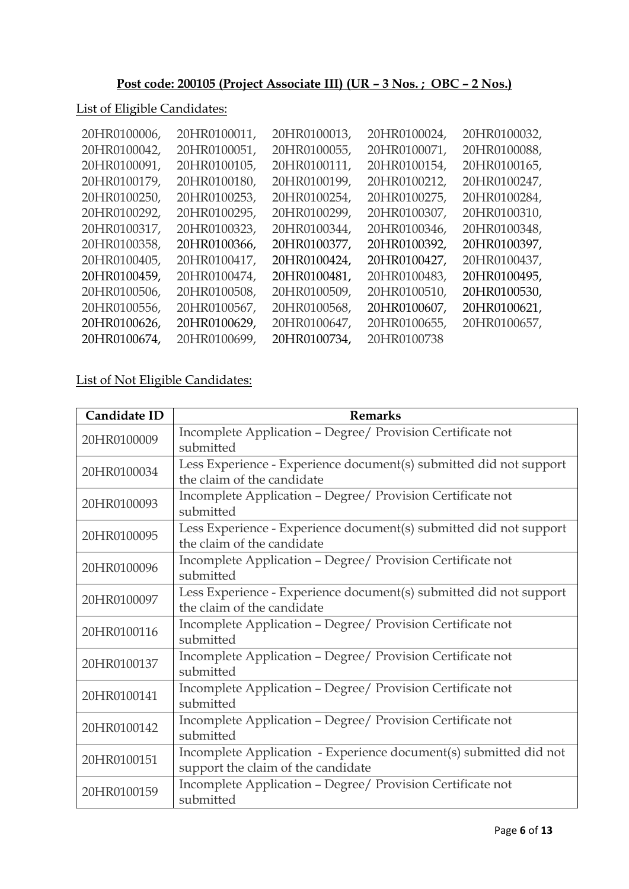# **Post code: 200105 (Project Associate III) (UR – 3 Nos. ; OBC – 2 Nos.)**

### List of Eligible Candidates:

| 20HR0100006, | 20HR0100011, | 20HR0100013, | 20HR0100024, | 20HR0100032, |
|--------------|--------------|--------------|--------------|--------------|
| 20HR0100042, | 20HR0100051, | 20HR0100055, | 20HR0100071, | 20HR0100088, |
| 20HR0100091, | 20HR0100105, | 20HR0100111, | 20HR0100154, | 20HR0100165, |
| 20HR0100179, | 20HR0100180, | 20HR0100199, | 20HR0100212, | 20HR0100247, |
| 20HR0100250, | 20HR0100253, | 20HR0100254, | 20HR0100275, | 20HR0100284, |
| 20HR0100292, | 20HR0100295, | 20HR0100299, | 20HR0100307, | 20HR0100310, |
| 20HR0100317, | 20HR0100323, | 20HR0100344, | 20HR0100346, | 20HR0100348, |
| 20HR0100358, | 20HR0100366, | 20HR0100377, | 20HR0100392, | 20HR0100397, |
| 20HR0100405, | 20HR0100417, | 20HR0100424, | 20HR0100427, | 20HR0100437, |
| 20HR0100459, | 20HR0100474, | 20HR0100481, | 20HR0100483, | 20HR0100495, |
| 20HR0100506, | 20HR0100508, | 20HR0100509, | 20HR0100510, | 20HR0100530, |
| 20HR0100556, | 20HR0100567, | 20HR0100568, | 20HR0100607, | 20HR0100621, |
| 20HR0100626, | 20HR0100629, | 20HR0100647, | 20HR0100655, | 20HR0100657, |
| 20HR0100674, | 20HR0100699, | 20HR0100734, | 20HR0100738  |              |

| Candidate ID | <b>Remarks</b>                                                     |
|--------------|--------------------------------------------------------------------|
| 20HR0100009  | Incomplete Application - Degree/ Provision Certificate not         |
|              | submitted                                                          |
| 20HR0100034  | Less Experience - Experience document(s) submitted did not support |
|              | the claim of the candidate                                         |
| 20HR0100093  | Incomplete Application - Degree/ Provision Certificate not         |
|              | submitted                                                          |
| 20HR0100095  | Less Experience - Experience document(s) submitted did not support |
|              | the claim of the candidate                                         |
| 20HR0100096  | Incomplete Application - Degree/ Provision Certificate not         |
|              | submitted                                                          |
| 20HR0100097  | Less Experience - Experience document(s) submitted did not support |
|              | the claim of the candidate                                         |
| 20HR0100116  | Incomplete Application - Degree/ Provision Certificate not         |
|              | submitted                                                          |
| 20HR0100137  | Incomplete Application - Degree/ Provision Certificate not         |
|              | submitted                                                          |
| 20HR0100141  | Incomplete Application - Degree/ Provision Certificate not         |
|              | submitted                                                          |
| 20HR0100142  | Incomplete Application - Degree/ Provision Certificate not         |
|              | submitted                                                          |
| 20HR0100151  | Incomplete Application - Experience document(s) submitted did not  |
|              | support the claim of the candidate                                 |
| 20HR0100159  | Incomplete Application - Degree/ Provision Certificate not         |
|              | submitted                                                          |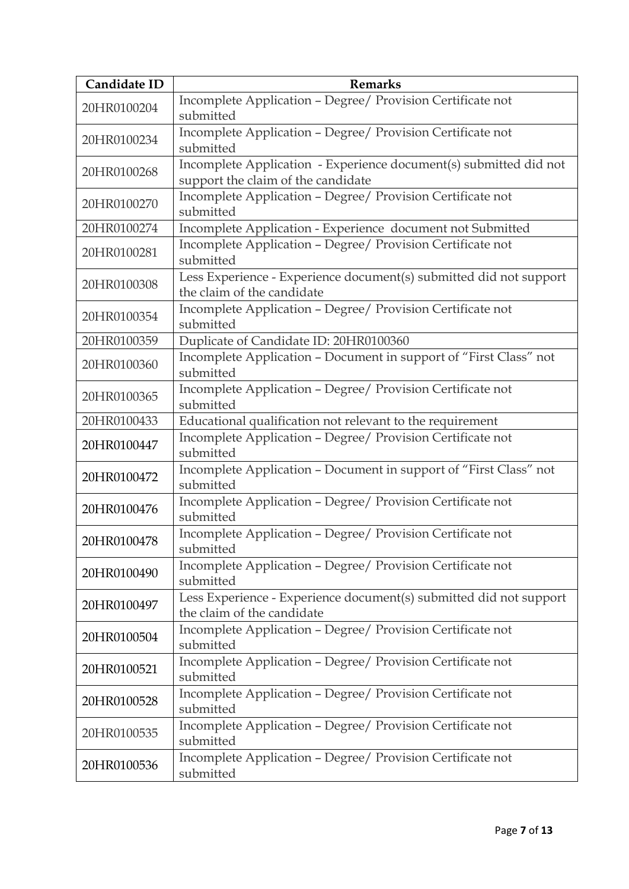| Candidate ID | <b>Remarks</b>                                                                                          |
|--------------|---------------------------------------------------------------------------------------------------------|
| 20HR0100204  | Incomplete Application - Degree/ Provision Certificate not<br>submitted                                 |
| 20HR0100234  | Incomplete Application - Degree/ Provision Certificate not<br>submitted                                 |
| 20HR0100268  | Incomplete Application - Experience document(s) submitted did not<br>support the claim of the candidate |
| 20HR0100270  | Incomplete Application - Degree/ Provision Certificate not<br>submitted                                 |
| 20HR0100274  | Incomplete Application - Experience document not Submitted                                              |
| 20HR0100281  | Incomplete Application - Degree/ Provision Certificate not<br>submitted                                 |
| 20HR0100308  | Less Experience - Experience document(s) submitted did not support<br>the claim of the candidate        |
| 20HR0100354  | Incomplete Application - Degree/ Provision Certificate not<br>submitted                                 |
| 20HR0100359  | Duplicate of Candidate ID: 20HR0100360                                                                  |
| 20HR0100360  | Incomplete Application - Document in support of "First Class" not<br>submitted                          |
| 20HR0100365  | Incomplete Application - Degree/ Provision Certificate not<br>submitted                                 |
| 20HR0100433  | Educational qualification not relevant to the requirement                                               |
| 20HR0100447  | Incomplete Application - Degree/ Provision Certificate not<br>submitted                                 |
| 20HR0100472  | Incomplete Application - Document in support of "First Class" not<br>submitted                          |
| 20HR0100476  | Incomplete Application - Degree/ Provision Certificate not<br>submitted                                 |
| 20HR0100478  | Incomplete Application - Degree/ Provision Certificate not<br>submitted                                 |
| 20HR0100490  | Incomplete Application - Degree/ Provision Certificate not<br>submitted                                 |
| 20HR0100497  | Less Experience - Experience document(s) submitted did not support<br>the claim of the candidate        |
| 20HR0100504  | Incomplete Application - Degree/ Provision Certificate not<br>submitted                                 |
| 20HR0100521  | Incomplete Application - Degree/ Provision Certificate not<br>submitted                                 |
| 20HR0100528  | Incomplete Application - Degree/ Provision Certificate not<br>submitted                                 |
| 20HR0100535  | Incomplete Application - Degree/ Provision Certificate not<br>submitted                                 |
| 20HR0100536  | Incomplete Application - Degree/ Provision Certificate not<br>submitted                                 |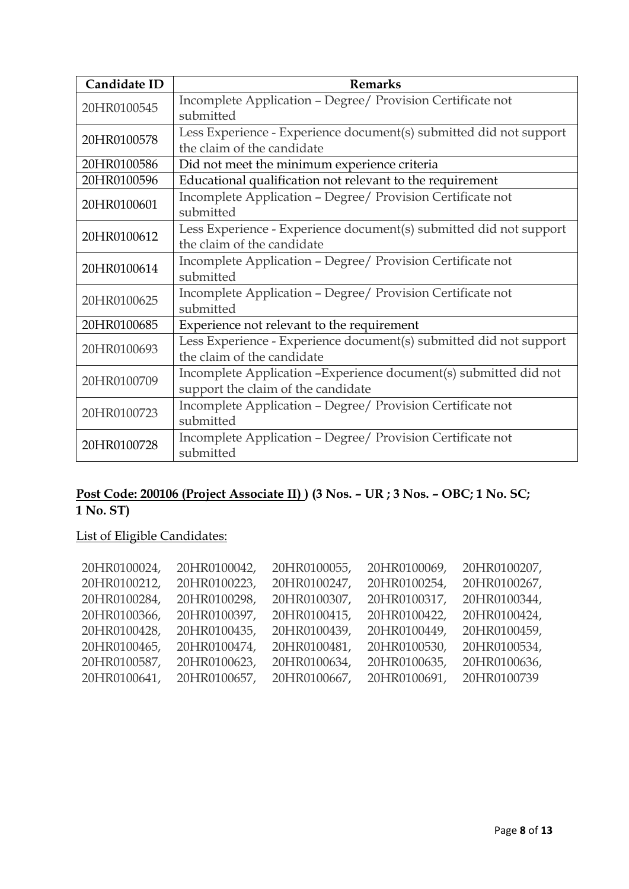| Candidate ID | <b>Remarks</b>                                                     |
|--------------|--------------------------------------------------------------------|
| 20HR0100545  | Incomplete Application - Degree/ Provision Certificate not         |
|              | submitted                                                          |
| 20HR0100578  | Less Experience - Experience document(s) submitted did not support |
|              | the claim of the candidate                                         |
| 20HR0100586  | Did not meet the minimum experience criteria                       |
| 20HR0100596  | Educational qualification not relevant to the requirement          |
|              | Incomplete Application - Degree/ Provision Certificate not         |
| 20HR0100601  | submitted                                                          |
| 20HR0100612  | Less Experience - Experience document(s) submitted did not support |
|              | the claim of the candidate                                         |
|              | Incomplete Application - Degree/ Provision Certificate not         |
| 20HR0100614  | submitted                                                          |
| 20HR0100625  | Incomplete Application - Degree/ Provision Certificate not         |
|              | submitted                                                          |
| 20HR0100685  | Experience not relevant to the requirement                         |
|              | Less Experience - Experience document(s) submitted did not support |
| 20HR0100693  | the claim of the candidate                                         |
| 20HR0100709  | Incomplete Application -Experience document(s) submitted did not   |
|              | support the claim of the candidate                                 |
|              | Incomplete Application - Degree/ Provision Certificate not         |
| 20HR0100723  | submitted                                                          |
|              | Incomplete Application - Degree/ Provision Certificate not         |
| 20HR0100728  | submitted                                                          |

## **Post Code: 200106 (Project Associate II) ) (3 Nos. – UR ; 3 Nos. – OBC; 1 No. SC; 1 No. ST)**

| 20HR0100024, | 20HR0100042, | 20HR0100055, | 20HR0100069, | 20HR0100207, |
|--------------|--------------|--------------|--------------|--------------|
| 20HR0100212, | 20HR0100223, | 20HR0100247, | 20HR0100254, | 20HR0100267, |
| 20HR0100284, | 20HR0100298, | 20HR0100307, | 20HR0100317, | 20HR0100344, |
| 20HR0100366, | 20HR0100397, | 20HR0100415, | 20HR0100422, | 20HR0100424, |
| 20HR0100428, | 20HR0100435, | 20HR0100439, | 20HR0100449, | 20HR0100459, |
| 20HR0100465, | 20HR0100474, | 20HR0100481, | 20HR0100530, | 20HR0100534, |
| 20HR0100587, | 20HR0100623, | 20HR0100634, | 20HR0100635, | 20HR0100636, |
| 20HR0100641, | 20HR0100657, | 20HR0100667, | 20HR0100691, | 20HR0100739  |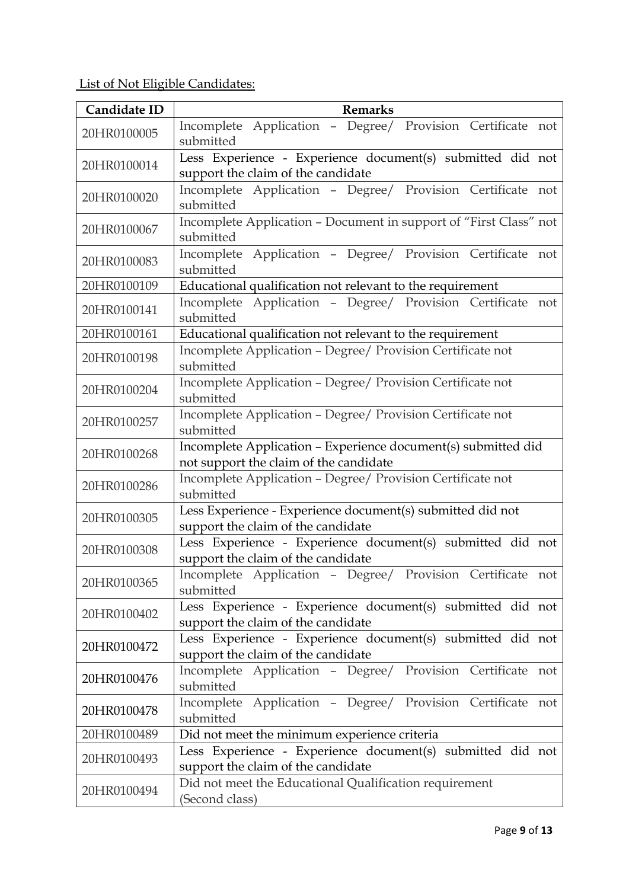| Candidate ID | <b>Remarks</b>                                                                                          |  |  |
|--------------|---------------------------------------------------------------------------------------------------------|--|--|
| 20HR0100005  | Incomplete Application - Degree/ Provision Certificate not<br>submitted                                 |  |  |
| 20HR0100014  | Less Experience - Experience document(s) submitted did not<br>support the claim of the candidate        |  |  |
| 20HR0100020  | Incomplete Application - Degree/ Provision Certificate not<br>submitted                                 |  |  |
| 20HR0100067  | Incomplete Application - Document in support of "First Class" not<br>submitted                          |  |  |
| 20HR0100083  | Incomplete Application - Degree/ Provision Certificate not<br>submitted                                 |  |  |
| 20HR0100109  | Educational qualification not relevant to the requirement                                               |  |  |
| 20HR0100141  | Incomplete Application - Degree/ Provision Certificate not<br>submitted                                 |  |  |
| 20HR0100161  | Educational qualification not relevant to the requirement                                               |  |  |
| 20HR0100198  | Incomplete Application - Degree/ Provision Certificate not<br>submitted                                 |  |  |
| 20HR0100204  | Incomplete Application - Degree/ Provision Certificate not<br>submitted                                 |  |  |
| 20HR0100257  | Incomplete Application - Degree/ Provision Certificate not<br>submitted                                 |  |  |
| 20HR0100268  | Incomplete Application - Experience document(s) submitted did<br>not support the claim of the candidate |  |  |
| 20HR0100286  | Incomplete Application - Degree/ Provision Certificate not<br>submitted                                 |  |  |
| 20HR0100305  | Less Experience - Experience document(s) submitted did not<br>support the claim of the candidate        |  |  |
| 20HR0100308  | Less Experience - Experience document(s) submitted did not<br>support the claim of the candidate        |  |  |
| 20HR0100365  | Incomplete Application - Degree/ Provision Certificate not<br>submitted                                 |  |  |
| 20HR0100402  | Less Experience - Experience document(s) submitted did not<br>support the claim of the candidate        |  |  |
| 20HR0100472  | Less Experience - Experience document(s) submitted did not<br>support the claim of the candidate        |  |  |
| 20HR0100476  | Incomplete Application - Degree/ Provision Certificate not<br>submitted                                 |  |  |
| 20HR0100478  | Incomplete Application - Degree/ Provision Certificate not<br>submitted                                 |  |  |
| 20HR0100489  | Did not meet the minimum experience criteria                                                            |  |  |
| 20HR0100493  | Less Experience - Experience document(s) submitted did not<br>support the claim of the candidate        |  |  |
| 20HR0100494  | Did not meet the Educational Qualification requirement<br>(Second class)                                |  |  |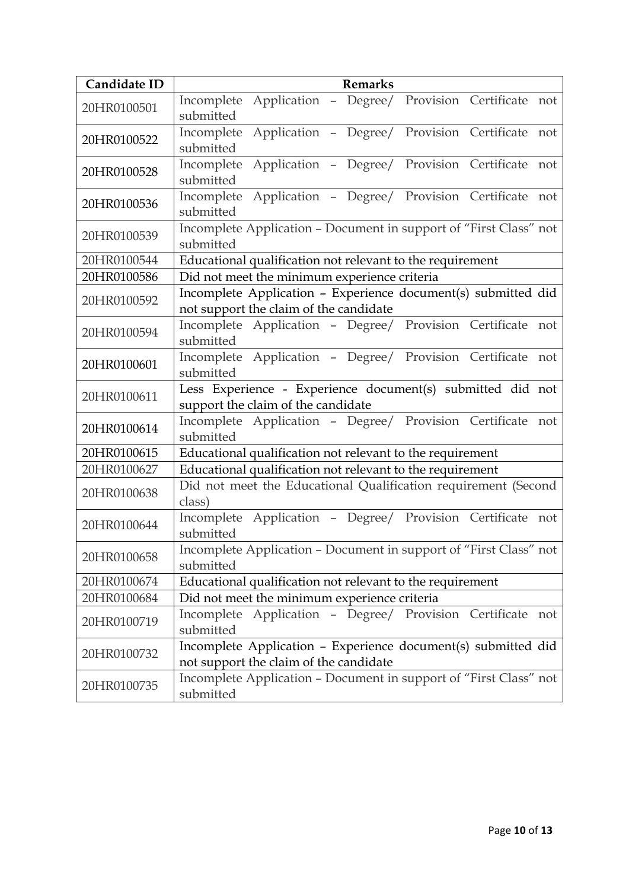| Candidate ID | <b>Remarks</b>                                                                                          |  |
|--------------|---------------------------------------------------------------------------------------------------------|--|
| 20HR0100501  | Application - Degree/ Provision Certificate not<br>Incomplete<br>submitted                              |  |
| 20HR0100522  | Application - Degree/ Provision Certificate not<br>Incomplete<br>submitted                              |  |
| 20HR0100528  | Application - Degree/ Provision Certificate not<br>Incomplete<br>submitted                              |  |
| 20HR0100536  | Application - Degree/ Provision Certificate not<br>Incomplete<br>submitted                              |  |
| 20HR0100539  | Incomplete Application - Document in support of "First Class" not<br>submitted                          |  |
| 20HR0100544  | Educational qualification not relevant to the requirement                                               |  |
| 20HR0100586  | Did not meet the minimum experience criteria                                                            |  |
| 20HR0100592  | Incomplete Application - Experience document(s) submitted did<br>not support the claim of the candidate |  |
| 20HR0100594  | Incomplete Application - Degree/ Provision Certificate not<br>submitted                                 |  |
| 20HR0100601  | Incomplete Application - Degree/ Provision Certificate not<br>submitted                                 |  |
| 20HR0100611  | Less Experience - Experience document(s) submitted did not<br>support the claim of the candidate        |  |
| 20HR0100614  | Incomplete Application - Degree/ Provision Certificate not<br>submitted                                 |  |
| 20HR0100615  | Educational qualification not relevant to the requirement                                               |  |
| 20HR0100627  | Educational qualification not relevant to the requirement                                               |  |
| 20HR0100638  | Did not meet the Educational Qualification requirement (Second<br>class)                                |  |
| 20HR0100644  | Incomplete Application - Degree/ Provision Certificate not<br>submitted                                 |  |
| 20HR0100658  | Incomplete Application - Document in support of "First Class" not<br>submitted                          |  |
| 20HR0100674  | Educational qualification not relevant to the requirement                                               |  |
| 20HR0100684  | Did not meet the minimum experience criteria                                                            |  |
| 20HR0100719  | Incomplete Application - Degree/ Provision Certificate<br>not<br>submitted                              |  |
| 20HR0100732  | Incomplete Application - Experience document(s) submitted did<br>not support the claim of the candidate |  |
| 20HR0100735  | Incomplete Application - Document in support of "First Class" not<br>submitted                          |  |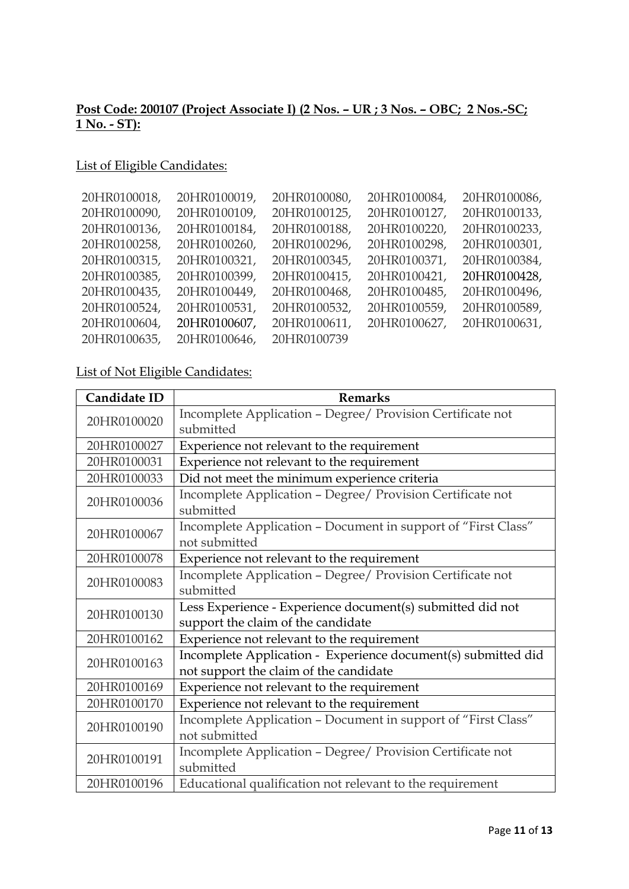### **Post Code: 200107 (Project Associate I) (2 Nos. – UR ; 3 Nos. – OBC; 2 Nos.-SC; 1 No. - ST):**

### List of Eligible Candidates:

| 20HR0100018, | 20HR0100019, | 20HR0100080, | 20HR0100084, | 20HR0100086, |
|--------------|--------------|--------------|--------------|--------------|
| 20HR0100090, | 20HR0100109, | 20HR0100125, | 20HR0100127, | 20HR0100133, |
| 20HR0100136, | 20HR0100184, | 20HR0100188, | 20HR0100220, | 20HR0100233, |
| 20HR0100258, | 20HR0100260, | 20HR0100296, | 20HR0100298, | 20HR0100301, |
| 20HR0100315, | 20HR0100321, | 20HR0100345, | 20HR0100371, | 20HR0100384, |
| 20HR0100385, | 20HR0100399, | 20HR0100415, | 20HR0100421, | 20HR0100428, |
| 20HR0100435, | 20HR0100449, | 20HR0100468, | 20HR0100485, | 20HR0100496, |
| 20HR0100524, | 20HR0100531, | 20HR0100532, | 20HR0100559, | 20HR0100589, |
| 20HR0100604, | 20HR0100607, | 20HR0100611, | 20HR0100627, | 20HR0100631, |
| 20HR0100635, | 20HR0100646, | 20HR0100739  |              |              |

| Candidate ID | <b>Remarks</b>                                                                                          |  |
|--------------|---------------------------------------------------------------------------------------------------------|--|
| 20HR0100020  | Incomplete Application - Degree/ Provision Certificate not<br>submitted                                 |  |
| 20HR0100027  | Experience not relevant to the requirement                                                              |  |
| 20HR0100031  | Experience not relevant to the requirement                                                              |  |
| 20HR0100033  | Did not meet the minimum experience criteria                                                            |  |
| 20HR0100036  | Incomplete Application - Degree/ Provision Certificate not<br>submitted                                 |  |
| 20HR0100067  | Incomplete Application - Document in support of "First Class"<br>not submitted                          |  |
| 20HR0100078  | Experience not relevant to the requirement                                                              |  |
| 20HR0100083  | Incomplete Application - Degree/ Provision Certificate not<br>submitted                                 |  |
| 20HR0100130  | Less Experience - Experience document(s) submitted did not<br>support the claim of the candidate        |  |
| 20HR0100162  | Experience not relevant to the requirement                                                              |  |
| 20HR0100163  | Incomplete Application - Experience document(s) submitted did<br>not support the claim of the candidate |  |
| 20HR0100169  | Experience not relevant to the requirement                                                              |  |
| 20HR0100170  | Experience not relevant to the requirement                                                              |  |
| 20HR0100190  | Incomplete Application - Document in support of "First Class"<br>not submitted                          |  |
| 20HR0100191  | Incomplete Application - Degree/ Provision Certificate not<br>submitted                                 |  |
| 20HR0100196  | Educational qualification not relevant to the requirement                                               |  |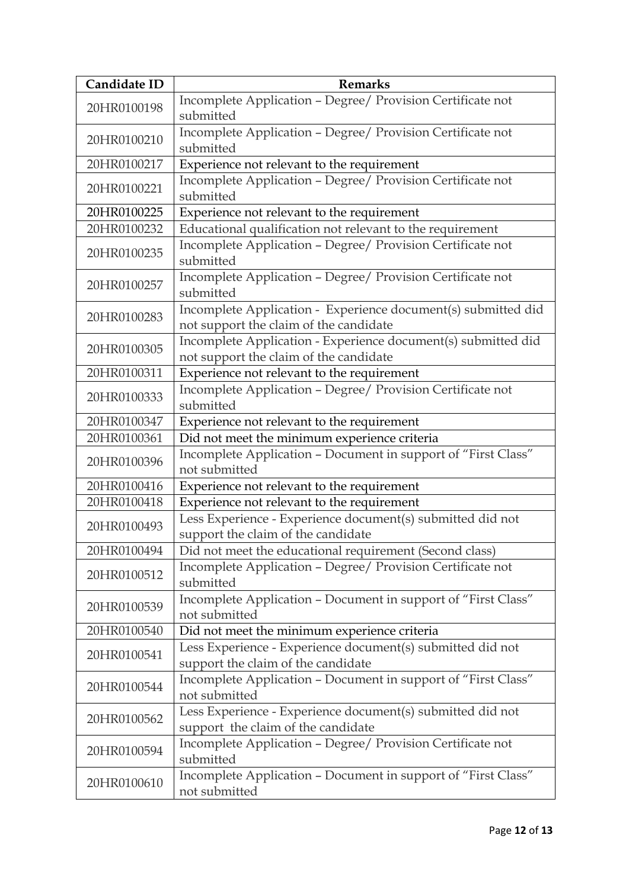| Candidate ID | <b>Remarks</b>                                                                                          |  |
|--------------|---------------------------------------------------------------------------------------------------------|--|
| 20HR0100198  | Incomplete Application - Degree/ Provision Certificate not<br>submitted                                 |  |
| 20HR0100210  | Incomplete Application - Degree/ Provision Certificate not<br>submitted                                 |  |
| 20HR0100217  | Experience not relevant to the requirement                                                              |  |
| 20HR0100221  | Incomplete Application - Degree/ Provision Certificate not<br>submitted                                 |  |
| 20HR0100225  | Experience not relevant to the requirement                                                              |  |
| 20HR0100232  | Educational qualification not relevant to the requirement                                               |  |
| 20HR0100235  | Incomplete Application - Degree/ Provision Certificate not<br>submitted                                 |  |
| 20HR0100257  | Incomplete Application - Degree/ Provision Certificate not<br>submitted                                 |  |
| 20HR0100283  | Incomplete Application - Experience document(s) submitted did<br>not support the claim of the candidate |  |
| 20HR0100305  | Incomplete Application - Experience document(s) submitted did<br>not support the claim of the candidate |  |
| 20HR0100311  | Experience not relevant to the requirement                                                              |  |
| 20HR0100333  | Incomplete Application - Degree/ Provision Certificate not<br>submitted                                 |  |
| 20HR0100347  | Experience not relevant to the requirement                                                              |  |
| 20HR0100361  | Did not meet the minimum experience criteria                                                            |  |
| 20HR0100396  | Incomplete Application - Document in support of "First Class"<br>not submitted                          |  |
| 20HR0100416  | Experience not relevant to the requirement                                                              |  |
| 20HR0100418  | Experience not relevant to the requirement                                                              |  |
| 20HR0100493  | Less Experience - Experience document(s) submitted did not<br>support the claim of the candidate        |  |
| 20HR0100494  | Did not meet the educational requirement (Second class)                                                 |  |
| 20HR0100512  | Incomplete Application - Degree/ Provision Certificate not<br>submitted                                 |  |
| 20HR0100539  | Incomplete Application - Document in support of "First Class"<br>not submitted                          |  |
| 20HR0100540  | Did not meet the minimum experience criteria                                                            |  |
| 20HR0100541  | Less Experience - Experience document(s) submitted did not<br>support the claim of the candidate        |  |
| 20HR0100544  | Incomplete Application - Document in support of "First Class"<br>not submitted                          |  |
| 20HR0100562  | Less Experience - Experience document(s) submitted did not<br>support the claim of the candidate        |  |
| 20HR0100594  | Incomplete Application - Degree/ Provision Certificate not<br>submitted                                 |  |
| 20HR0100610  | Incomplete Application - Document in support of "First Class"<br>not submitted                          |  |